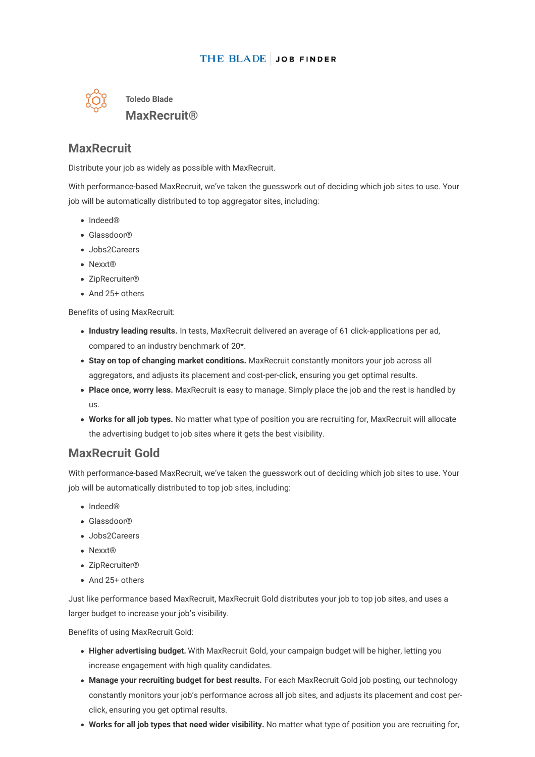#### THE BLADE JOB FINDER



**Toledo Blade MaxRecruit®**

## **MaxRecruit**

Distribute your job as widely as possible with MaxRecruit.

With performance-based MaxRecruit, we've taken the guesswork out of deciding which job sites to use. Your job will be automatically distributed to top aggregator sites, including:

- Indeed®
- Glassdoor®
- Jobs2Careers
- Nexxt®
- ZipRecruiter®
- And 25+ others

Benefits of using MaxRecruit:

- **Industry leading results.** In tests, MaxRecruit delivered an average of 61 click-applications per ad, compared to an industry benchmark of 20\*.
- **Stay on top of changing market conditions.** MaxRecruit constantly monitors your job across all aggregators, and adjusts its placement and cost-per-click, ensuring you get optimal results.
- **Place once, worry less.** MaxRecruit is easy to manage. Simply place the job and the rest is handled by us.
- **Works for all job types.** No matter what type of position you are recruiting for, MaxRecruit will allocate the advertising budget to job sites where it gets the best visibility.

#### **MaxRecruit Gold**

With performance-based MaxRecruit, we've taken the guesswork out of deciding which job sites to use. Your job will be automatically distributed to top job sites, including:

- Indeed®
- Glassdoor®
- Jobs2Careers
- Nexxt®
- ZipRecruiter®
- And 25+ others

Just like performance based MaxRecruit, MaxRecruit Gold distributes your job to top job sites, and uses a larger budget to increase your job's visibility.

Benefits of using MaxRecruit Gold:

- **Higher advertising budget.** With MaxRecruit Gold, your campaign budget will be higher, letting you increase engagement with high quality candidates.
- **Manage your recruiting budget for best results.** For each MaxRecruit Gold job posting, our technology constantly monitors your job's performance across all job sites, and adjusts its placement and cost perclick, ensuring you get optimal results.
- **Works for all job types that need wider visibility.** No matter what type of position you are recruiting for,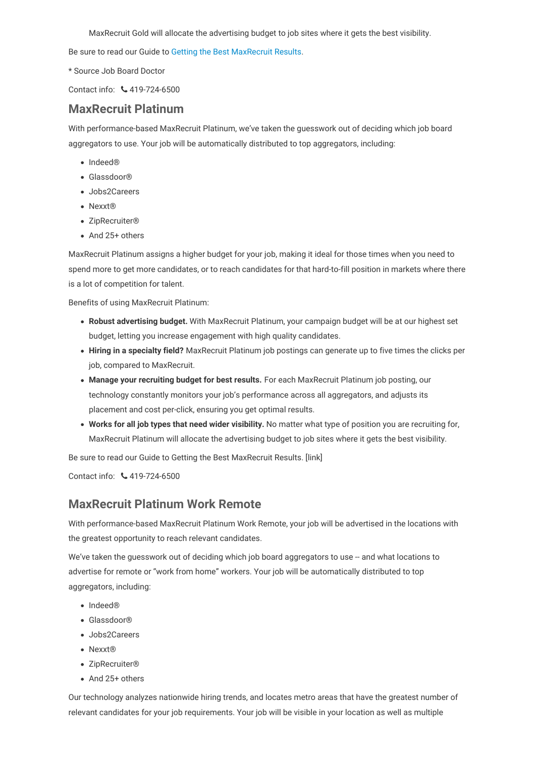MaxRecruit Gold will allocate the advertising budget to job sites where it gets the best visibility.

Be sure to read our Guide to Getting the Best [MaxRecruit](https://hiring.toledoblade.com/recruitmentproducts/toledoblade/maxrecruit/pdf?host_domain=hiring.toledoblade.com&page=maxrecruit-guide) Results.

\* Source Job Board Doctor

Contact info: **4419-724-6500** 

#### **MaxRecruit Platinum**

With performance-based MaxRecruit Platinum, we've taken the guesswork out of deciding which job board aggregators to use. Your job will be automatically distributed to top aggregators, including:

- Indeed®
- Glassdoor®
- Jobs2Careers
- Nexxt®
- ZipRecruiter®
- And 25+ others

MaxRecruit Platinum assigns a higher budget for your job, making it ideal for those times when you need to spend more to get more candidates, or to reach candidates for that hard-to-fill position in markets where there is a lot of competition for talent.

Benefits of using MaxRecruit Platinum:

- **Robust advertising budget.** With MaxRecruit Platinum, your campaign budget will be at our highest set budget, letting you increase engagement with high quality candidates.
- **Hiring in a specialty field?** MaxRecruit Platinum job postings can generate up to five times the clicks per job, compared to MaxRecruit.
- **Manage your recruiting budget for best results.** For each MaxRecruit Platinum job posting, our technology constantly monitors your job's performance across all aggregators, and adjusts its placement and cost per-click, ensuring you get optimal results.
- **Works for all job types that need wider visibility.** No matter what type of position you are recruiting for, MaxRecruit Platinum will allocate the advertising budget to job sites where it gets the best visibility.

Be sure to read our Guide to Getting the Best MaxRecruit Results. [link]

Contact info: 419-724-6500

### **MaxRecruit Platinum Work Remote**

With performance-based MaxRecruit Platinum Work Remote, your job will be advertised in the locations with the greatest opportunity to reach relevant candidates.

We've taken the quesswork out of deciding which job board aggregators to use -- and what locations to advertise for remote or "work from home" workers. Your job will be automatically distributed to top aggregators, including:

- Indeed®
- Glassdoor®
- Jobs2Careers
- Nexxt®
- ZipRecruiter®
- And 25+ others

Our technology analyzes nationwide hiring trends, and locates metro areas that have the greatest number of relevant candidates for your job requirements. Your job will be visible in your location as well as multiple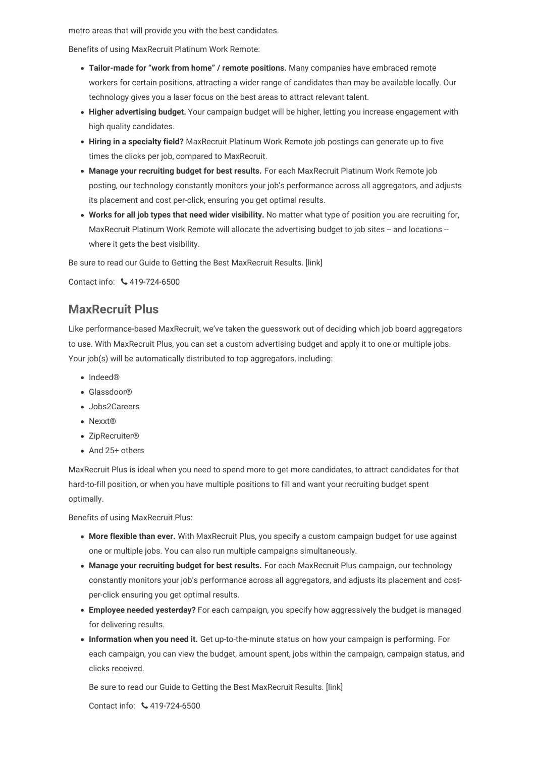metro areas that will provide you with the best candidates.

Benefits of using MaxRecruit Platinum Work Remote:

- **Tailor-made for "work from home" / remote positions.** Many companies have embraced remote workers for certain positions, attracting a wider range of candidates than may be available locally. Our technology gives you a laser focus on the best areas to attract relevant talent.
- **Higher advertising budget.** Your campaign budget will be higher, letting you increase engagement with high quality candidates.
- **Hiring in a specialty field?** MaxRecruit Platinum Work Remote job postings can generate up to five times the clicks per job, compared to MaxRecruit.
- **Manage your recruiting budget for best results.** For each MaxRecruit Platinum Work Remote job posting, our technology constantly monitors your job's performance across all aggregators, and adjusts its placement and cost per-click, ensuring you get optimal results.
- **Works for all job types that need wider visibility.** No matter what type of position you are recruiting for, MaxRecruit Platinum Work Remote will allocate the advertising budget to job sites -- and locations -where it gets the best visibility.

Be sure to read our Guide to Getting the Best MaxRecruit Results. [link]

Contact info: 419-724-6500

#### **MaxRecruit Plus**

Like performance-based MaxRecruit, we've taken the guesswork out of deciding which job board aggregators to use. With MaxRecruit Plus, you can set a custom advertising budget and apply it to one or multiple jobs. Your job(s) will be automatically distributed to top aggregators, including:

- Indeed®
- Glassdoor®
- Jobs2Careers
- Nexxt®
- ZipRecruiter®
- And 25+ others

MaxRecruit Plus is ideal when you need to spend more to get more candidates, to attract candidates for that hard-to-fill position, or when you have multiple positions to fill and want your recruiting budget spent optimally.

Benefits of using MaxRecruit Plus:

- **More flexible than ever.** With MaxRecruit Plus, you specify a custom campaign budget for use against one or multiple jobs. You can also run multiple campaigns simultaneously.
- **Manage your recruiting budget for best results.** For each MaxRecruit Plus campaign, our technology constantly monitors your job's performance across all aggregators, and adjusts its placement and costper-click ensuring you get optimal results.
- **Employee needed yesterday?** For each campaign, you specify how aggressively the budget is managed for delivering results.
- **Information when you need it.** Get up-to-the-minute status on how your campaign is performing. For each campaign, you can view the budget, amount spent, jobs within the campaign, campaign status, and clicks received.

Be sure to read our Guide to Getting the Best MaxRecruit Results. [link]

Contact info: 419-724-6500